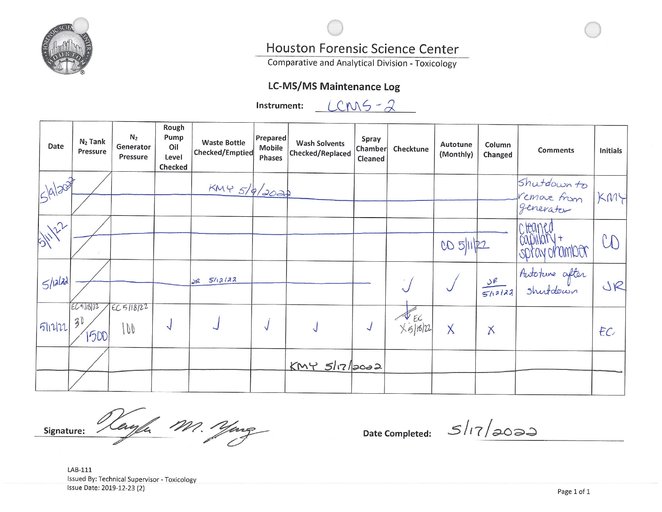

# Houston Forensic Science Center

**Comparative and Analytical Division - Toxicology** 

# **LC-MS/MS Maintenance Log**

Instrument:

 $LCMS - 2$ 

| Date      | $N2$ Tank<br>Pressure  | N <sub>2</sub><br>Generator<br>Pressure | Rough<br>Pump<br>Oil<br>Level<br>Checked | <b>Waste Bottle</b><br>Checked/Emptied | Prepared<br>Mobile<br>Phases | <b>Wash Solvents</b><br>Checked/Replaced | Spray<br>Chamber<br>Cleaned | Checktune                             | Autotune<br>(Monthly) | Column<br>Changed   | <b>Comments</b>                         | <b>Initials</b> |
|-----------|------------------------|-----------------------------------------|------------------------------------------|----------------------------------------|------------------------------|------------------------------------------|-----------------------------|---------------------------------------|-----------------------|---------------------|-----------------------------------------|-----------------|
| 5/9/2017  |                        |                                         |                                          | KMY 5/9/2022                           |                              |                                          |                             |                                       |                       |                     | Shutdown to<br>Vemove from<br>generator | KMY             |
| SHILL2    |                        |                                         |                                          |                                        |                              |                                          |                             |                                       | CD 5/11/22            |                     | cteaned<br>capillary+<br>spray chambor  | CD              |
| $5$ /alad |                        |                                         |                                          | $dR = 5/12/122$                        |                              |                                          |                             |                                       |                       | $rac{5e}{5h^{2/3}}$ | Autoture after<br>Shutdown              | JR              |
| 51122     | ECS11572<br>30<br>1500 | EC5118122<br>100                        | N                                        |                                        |                              |                                          |                             | $\frac{1}{16}$ EC<br>$\times$ 5/16/22 | $\times$              | $\times$            |                                         | EC              |
|           |                        |                                         |                                          |                                        |                              | $KNY$ $517/2002$                         |                             |                                       |                       |                     |                                         |                 |

Vanfa M. Yong Signature:

**Date Completed:** 

 $51/72000$ 

LAB-111 Issued By: Technical Supervisor - Toxicology Issue Date: 2019-12-23 (2)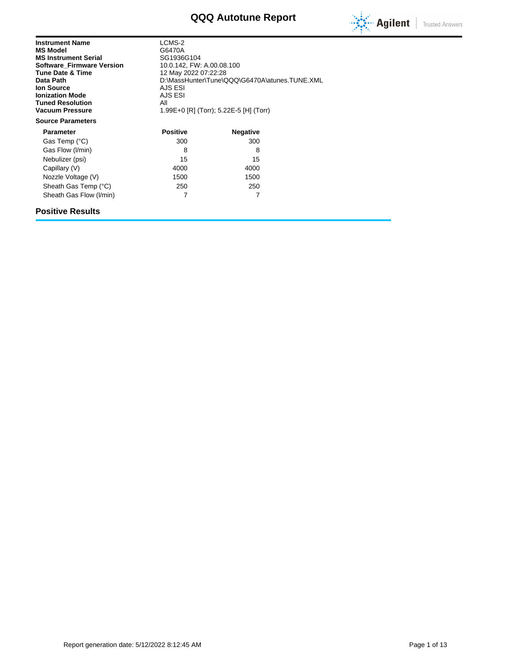# **QQQ Autotune Report**



| <b>Instrument Name</b><br><b>MS Model</b><br><b>MS Instrument Serial</b><br><b>Software Firmware Version</b><br><b>Tune Date &amp; Time</b><br>Data Path<br><b>Ion Source</b><br><b>Ionization Mode</b><br><b>Tuned Resolution</b><br><b>Vacuum Pressure</b> | LCMS-2<br>G6470A<br>SG1936G104<br>10.0.142, FW: A.00.08.100<br>12 May 2022 07:22:28<br>D:\MassHunter\Tune\QQQ\G6470A\atunes.TUNE.XML<br>AJS ESI<br>AJS ESI<br>All<br>1.99E+0 [R] (Torr); 5.22E-5 [H] (Torr) |                 |  |  |
|--------------------------------------------------------------------------------------------------------------------------------------------------------------------------------------------------------------------------------------------------------------|-------------------------------------------------------------------------------------------------------------------------------------------------------------------------------------------------------------|-----------------|--|--|
| <b>Source Parameters</b>                                                                                                                                                                                                                                     |                                                                                                                                                                                                             |                 |  |  |
| <b>Parameter</b>                                                                                                                                                                                                                                             | <b>Positive</b>                                                                                                                                                                                             | <b>Negative</b> |  |  |
| Gas Temp (°C)                                                                                                                                                                                                                                                | 300                                                                                                                                                                                                         | 300             |  |  |
| Gas Flow (I/min)                                                                                                                                                                                                                                             | 8                                                                                                                                                                                                           | 8               |  |  |
| Nebulizer (psi)                                                                                                                                                                                                                                              | 15                                                                                                                                                                                                          | 15              |  |  |
| Capillary (V)                                                                                                                                                                                                                                                | 4000                                                                                                                                                                                                        | 4000            |  |  |
| Nozzle Voltage (V)                                                                                                                                                                                                                                           | 1500                                                                                                                                                                                                        | 1500            |  |  |
| Sheath Gas Temp (°C)                                                                                                                                                                                                                                         | 250                                                                                                                                                                                                         | 250             |  |  |
| Sheath Gas Flow (I/min)                                                                                                                                                                                                                                      | 7                                                                                                                                                                                                           | 7               |  |  |

#### **Positive Results**

Report generation date: 5/12/2022 8:12:45 AM **Page 1** of 13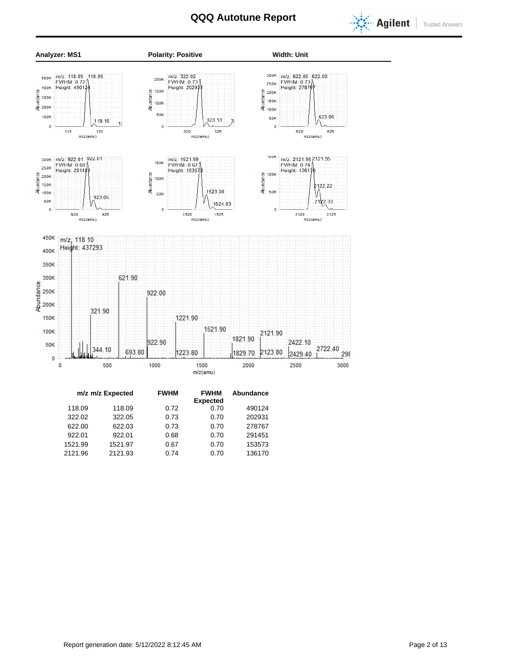



| m/z m/z Expected | <b>FWHM</b> | <b>FWHM</b> | Abundance               |        |
|------------------|-------------|-------------|-------------------------|--------|
|                  |             |             |                         |        |
|                  |             |             |                         |        |
| 322.05           | 0.73        | 0.70        | 202931                  |        |
| 622.03           | 0.73        | 0.70        | 278767                  |        |
| 922.01           | 0.68        | 0.70        | 291451                  |        |
| 1521.97          | 0.67        | 0.70        | 153573                  |        |
| 2121.93          | 0.74        | 0.70        | 136170                  |        |
|                  | 118.09      | 0.72        | <b>Expected</b><br>0.70 | 490124 |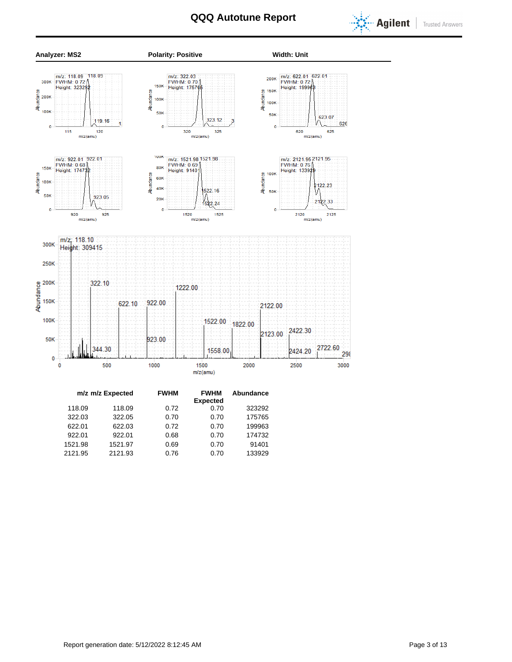



| m/z m/z Expected |         |         | <b>FWHM</b> | <b>FWHM</b>     | Abundance |
|------------------|---------|---------|-------------|-----------------|-----------|
|                  |         |         |             | <b>Expected</b> |           |
|                  | 118.09  | 118.09  | 0.72        | 0.70            | 323292    |
|                  | 322.03  | 322.05  | 0.70        | 0.70            | 175765    |
|                  | 622.01  | 622.03  | 0.72        | 0.70            | 199963    |
|                  | 922.01  | 922.01  | 0.68        | 0.70            | 174732    |
|                  | 1521.98 | 1521.97 | 0.69        | 0.70            | 91401     |
|                  | 2121.95 | 2121.93 | 0.76        | 0.70            | 133929    |
|                  |         |         |             |                 |           |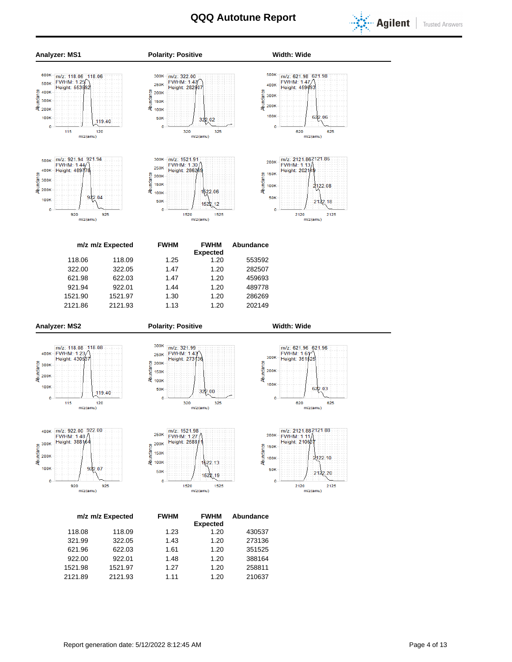



**Expected** 118.08 118.09 1.23 1.20 430537 321.99 322.05 1.43 1.20 273136 621.96 622.03 1.61 1.20 351525 922.00 922.01 1.48 1.20 388164 1521.98 1521.97 1.27 1.20 258811 2121.89 2121.93 1.11 1.20 210637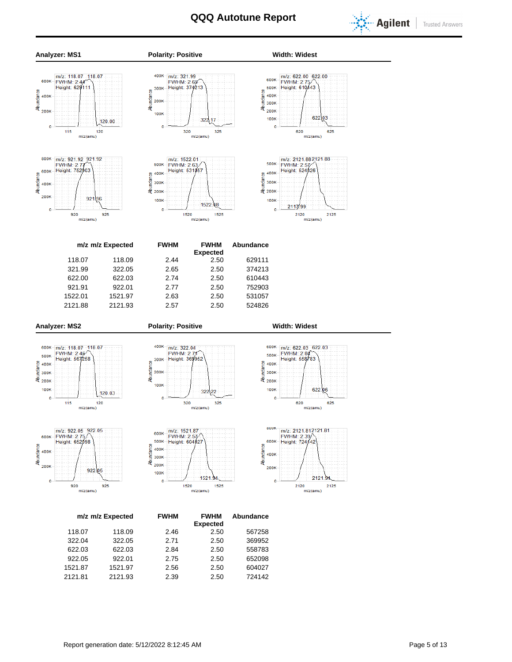



1521.87 1521.97 2.56 2.50 604027 2121.81 2121.93 2.39 2.50 724142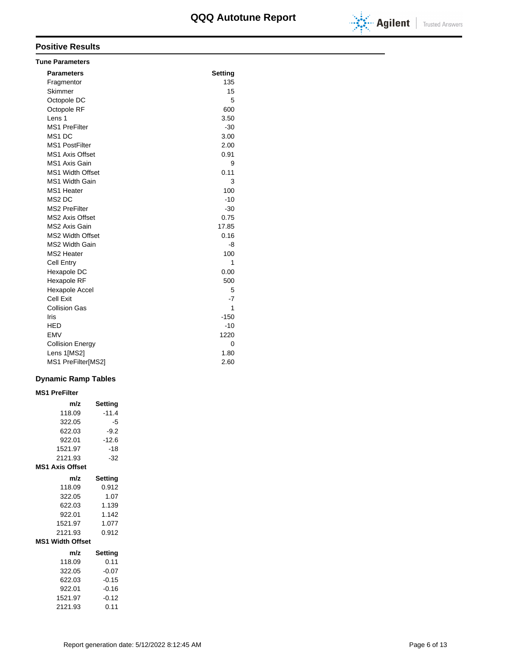

| <b>Tune Parameters</b>  |                |
|-------------------------|----------------|
| <b>Parameters</b>       | <b>Setting</b> |
| Fragmentor              | 135            |
| Skimmer                 | 15             |
| Octopole DC             | 5              |
| Octopole RF             | 600            |
| Lens <sub>1</sub>       | 3.50           |
| <b>MS1 PreFilter</b>    | $-30$          |
| MS1 DC                  | 3.00           |
| <b>MS1 PostFilter</b>   | 2.00           |
| <b>MS1 Axis Offset</b>  | 0.91           |
| MS1 Axis Gain           | 9              |
| <b>MS1 Width Offset</b> | 0.11           |
| <b>MS1 Width Gain</b>   | 3              |
| MS1 Heater              | 100            |
| MS <sub>2</sub> DC      | $-10$          |
| <b>MS2 PreFilter</b>    | $-30$          |
| MS2 Axis Offset         | 0.75           |
| MS2 Axis Gain           | 17.85          |
| <b>MS2 Width Offset</b> | 0.16           |
| MS2 Width Gain          | -8             |
| MS2 Heater              | 100            |
| <b>Cell Entry</b>       | 1              |
| Hexapole DC             | 0.00           |
| Hexapole RF             | 500            |
| <b>Hexapole Accel</b>   | 5              |
| Cell Exit               | $-7$           |
| <b>Collision Gas</b>    | 1              |
| Iris                    | $-150$         |
| <b>HED</b>              | $-10$          |
| <b>EMV</b>              | 1220           |
| <b>Collision Energy</b> | 0              |
| Lens 1[MS2]             | 1.80           |
| MS1 PreFilter[MS2]      | 2.60           |

#### **Dynamic Ramp Tables**

#### **MS1 PreFilter**

| m/z                     | Setting |
|-------------------------|---------|
| 118.09                  | $-11.4$ |
| 322.05                  | -5      |
| 622.03                  | $-9.2$  |
| 922.01                  | $-12.6$ |
| 1521.97                 | $-18$   |
| 2121.93                 | $-32$   |
| <b>MS1 Axis Offset</b>  |         |
| m/z                     | Setting |
| 118.09                  | 0.912   |
| 322.05                  | 1.07    |
| 622.03                  | 1.139   |
| 922.01                  | 1.142   |
| 1521.97                 | 1.077   |
| 2121.93                 | 0.912   |
| <b>MS1 Width Offset</b> |         |
| m/z                     | Setting |
| 118.09                  | 0.11    |
| 322.05                  | $-0.07$ |
| 622.03                  | $-0.15$ |
| 922.01                  | $-0.16$ |
| 1521.97                 | $-0.12$ |
| 2121.93                 | 0.11    |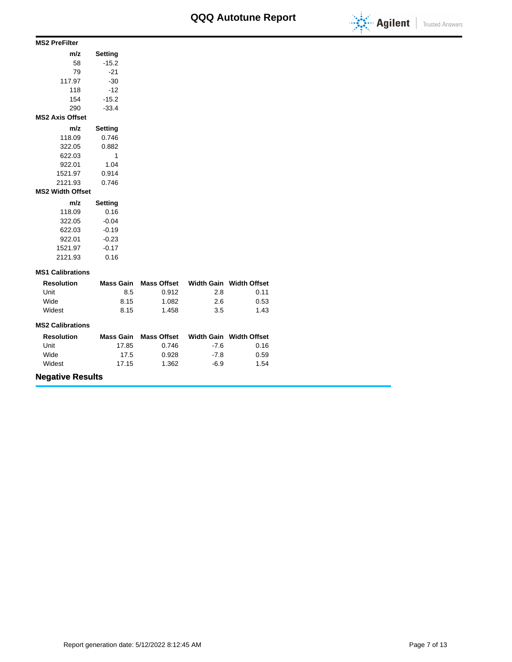

#### **MS2 PreFilter**

| m/z                     | Setting        |
|-------------------------|----------------|
| 58                      | $-15.2$        |
| 79                      | -21            |
| 117.97                  | $-30$          |
| 118                     | $-12$          |
| 154                     | $-15.2$        |
| 290                     | $-33.4$        |
| <b>MS2 Axis Offset</b>  |                |
| m/z                     | <b>Setting</b> |
| 118.09                  | 0.746          |
| 322.05                  | 0.882          |
| 622.03                  | 1              |
| 922.01                  | 1.04           |
| 1521.97                 | 0.914          |
| 2121.93                 | 0.746          |
| <b>MS2 Width Offset</b> |                |
| m/z                     | <b>Setting</b> |
| 118.09                  | 0.16           |
| 322.05                  | $-0.04$        |
| 622.03                  | $-0.19$        |
| 922.01                  | $-0.23$        |
| 1521.97                 | $-0.17$        |

#### **MS1 Calibrations**

2121.93 0.16

| <b>Resolution</b> | Mass Gain | Mass Offset |     | Width Gain Width Offset |
|-------------------|-----------|-------------|-----|-------------------------|
| Unit              | 8.5       | 0.912       | 2.8 | 0.11                    |
| Wide              | 8.15      | 1.082       | 2.6 | 0.53                    |
| Widest            | 8.15      | 1.458       | 3.5 | 1.43                    |

#### **MS2 Calibrations**

| <b>Resolution</b> | Mass Gain | Mass Offset |        | Width Gain Width Offset |
|-------------------|-----------|-------------|--------|-------------------------|
| Unit              | 17.85     | 0.746       | $-7.6$ | 0.16                    |
| Wide              | 17.5      | 0.928       | -7.8   | 0.59                    |
| Widest            | 17.15     | 1.362       | -6.9   | 1.54                    |

### **Negative Results**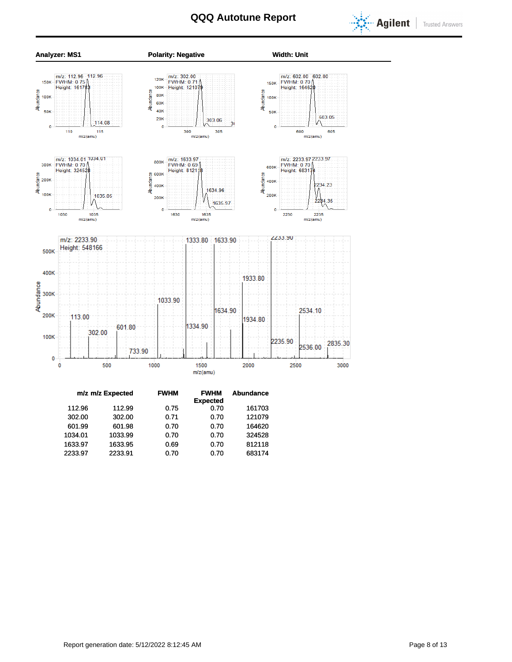



|         | m/z m/z Expected | <b>FWHM</b> | <b>FWHM</b>     | <b>Abundance</b> |
|---------|------------------|-------------|-----------------|------------------|
|         |                  |             | <b>Expected</b> |                  |
| 112.96  | 112.99           | 0.75        | 0.70            | 161703           |
| 302.00  | 302.00           | 0.71        | 0.70            | 121079           |
| 601.99  | 601.98           | 0.70        | 0.70            | 164620           |
| 1034.01 | 1033.99          | 0.70        | 0.70            | 324528           |
| 1633.97 | 1633.95          | 0.69        | 0.70            | 812118           |
| 2233.97 | 2233.91          | 0.70        | 0.70            | 683174           |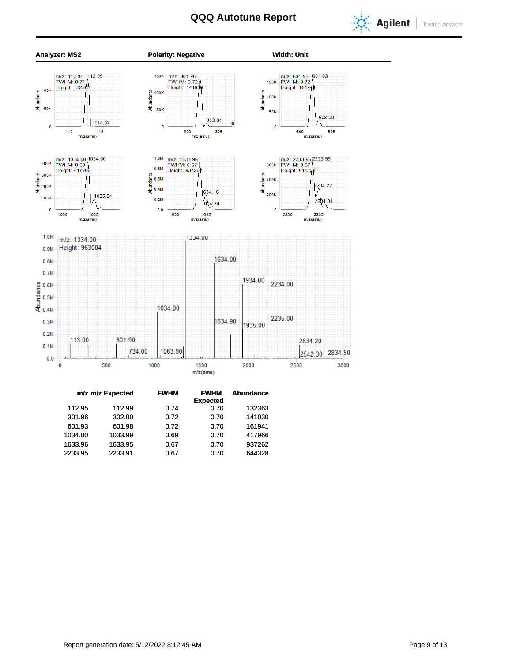



|         | m/z m/z Expected | <b>FWHM</b> | <b>FWHM</b><br><b>Expected</b> | Abundance |
|---------|------------------|-------------|--------------------------------|-----------|
| 112.95  | 112.99           | 0.74        | 0.70                           | 132363    |
| 301.96  | 302.00           | 0.72        | 0.70                           | 141030    |
| 601.93  | 601.98           | 0.72        | 0.70                           | 161941    |
| 1034.00 | 1033.99          | 0.69        | 0.70                           | 417966    |
| 1633.96 | 1633.95          | 0.67        | 0.70                           | 937262    |
| 2233.95 | 2233.91          | 0.67        | 0.70                           | 644328    |
|         |                  |             |                                |           |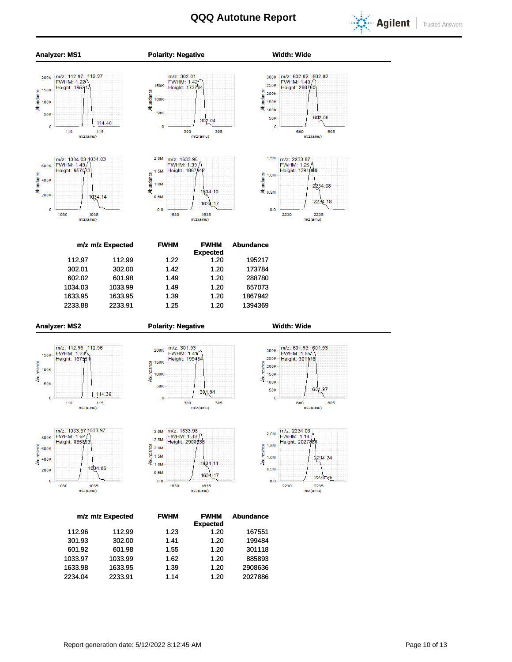





1633.98 1633.95 1.39 1.20 2908636 2234.04 2233.91 1.14 1.20 2027886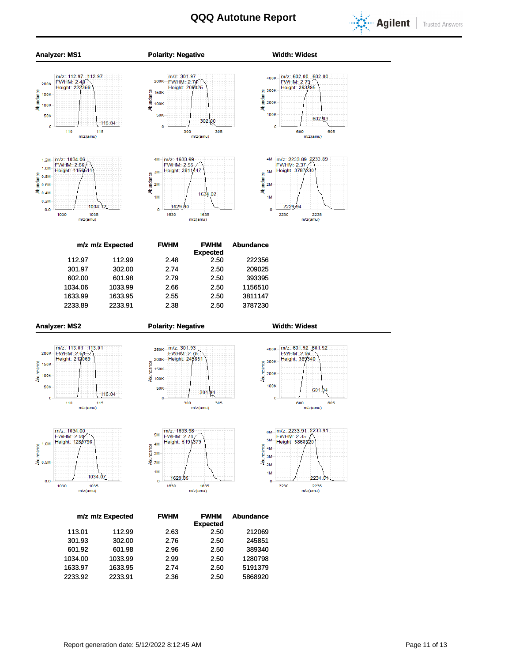

**Trusted Answers** 



601.92 601.98 2.96 2.50 389340 1034.00 1033.99 2.99 2.50 1280798 1633.97 1633.95 2.74 2.50 5191379 2233.92 2233.91 2.36 2.50 5868920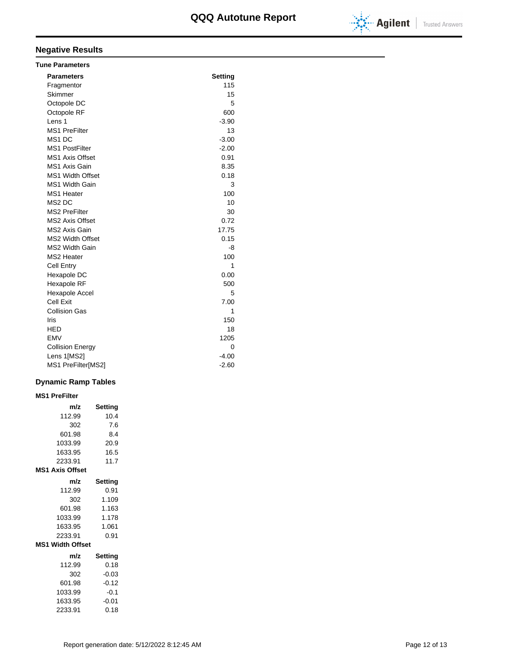

### **Negative Results**

| <b>Tune Parameters</b>  |         |
|-------------------------|---------|
| <b>Parameters</b>       | Setting |
| Fragmentor              | 115     |
| Skimmer                 | 15      |
| Octopole DC             | 5       |
| Octopole RF             | 600     |
| Lens 1                  | $-3.90$ |
| <b>MS1 PreFilter</b>    | 13      |
| MS <sub>1</sub> DC      | $-3.00$ |
| <b>MS1 PostFilter</b>   | $-2.00$ |
| <b>MS1 Axis Offset</b>  | 0.91    |
| <b>MS1 Axis Gain</b>    | 8.35    |
| <b>MS1 Width Offset</b> | 0.18    |
| <b>MS1 Width Gain</b>   | 3       |
| MS1 Heater              | 100     |
| MS <sub>2</sub> DC      | 10      |
| <b>MS2 PreFilter</b>    | 30      |
| <b>MS2 Axis Offset</b>  | 0.72    |
| MS2 Axis Gain           | 17.75   |
| <b>MS2 Width Offset</b> | 0.15    |
| <b>MS2 Width Gain</b>   | -8      |
| <b>MS2 Heater</b>       | 100     |
| <b>Cell Entry</b>       | 1       |
| Hexapole DC             | 0.00    |
| Hexapole RF             | 500     |
| Hexapole Accel          | 5       |
| Cell Exit               | 7.00    |
| <b>Collision Gas</b>    | 1       |
| Iris                    | 150     |
| HED                     | 18      |
| <b>EMV</b>              | 1205    |
| <b>Collision Energy</b> | 0       |
| Lens 1[MS2]             | $-4.00$ |
| MS1 PreFilter[MS2]      | $-2.60$ |

#### **Dynamic Ramp Tables**

| <b>MS1 PreFilter</b>    |                |
|-------------------------|----------------|
| m/z                     | <b>Setting</b> |
| 112.99                  | 10.4           |
| 302                     | 7.6            |
| 601.98                  | 8.4            |
| 1033.99                 | 20.9           |
| 1633.95                 | 16.5           |
| 2233.91                 | 11.7           |
| <b>MS1 Axis Offset</b>  |                |
| m/z                     | Setting        |
| 112.99                  | 0.91           |
| 302                     | 1.109          |
| 601.98                  | 1.163          |
| 1033.99                 | 1.178          |
| 1633.95                 | 1.061          |
| 2233.91                 | 0.91           |
| <b>MS1 Width Offset</b> |                |
| m/z                     | Setting        |
| 112.99                  | 0.18           |
| 302                     | $-0.03$        |
| 601.98                  | $-0.12$        |
| 1033.99                 | $-0.1$         |
| 1633.95                 | $-0.01$        |
| 2233.91                 | 0.18           |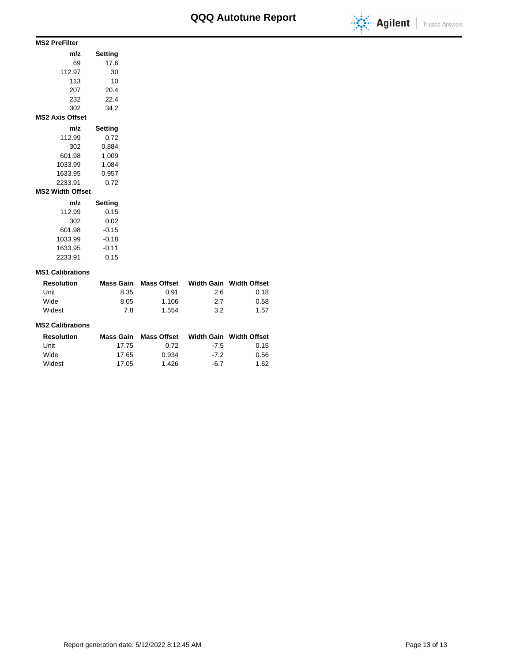

#### **MS2 PreFilter**

| Setting |
|---------|
| 17.6    |
| 30      |
| 10      |
| 20.4    |
| 22.4    |
| 34.2    |
|         |
| Setting |
| 0.72    |
| 0.884   |
| 1.009   |
| 1.084   |
| 0.957   |
| 0.72    |
|         |
| Setting |
| 0.15    |
| 0.02    |
| $-0.15$ |
| $-0.18$ |
| $-0.11$ |
|         |

#### **MS1 Calibrations**

2233.91 0.15

| <b>Resolution</b> | Mass Gain | Mass Offset |     | Width Gain Width Offset |
|-------------------|-----------|-------------|-----|-------------------------|
| Unit              | 8.35      | 0.91        | 2.6 | 0.18                    |
| Wide              | 8.05      | 1.106       | 2.7 | 0.58                    |
| Widest            | 7 R       | 1.554       | 3.2 | 1.57                    |

#### **MS2 Calibrations**

| <b>Resolution</b> | Mass Gain | Mass Offset |        | Width Gain Width Offset |
|-------------------|-----------|-------------|--------|-------------------------|
| Unit              | 17.75     | 0.72        | $-7.5$ | 0.15                    |
| Wide              | 17.65     | 0.934       | -72    | 0.56                    |
| Widest            | 17.05     | 1.426       | -6.7   | 1.62                    |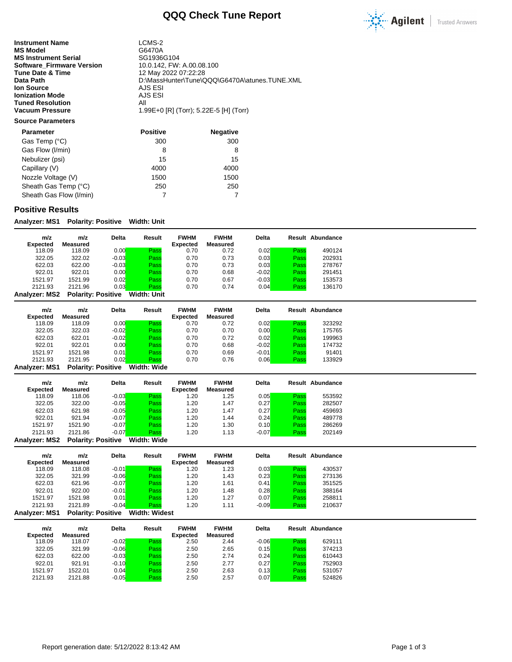### **QQQ Check Tune Report**



**Instrument Name** LCMS-2<br> **MS Model** G6470A **MS Model** G6470A<br> **MS Instrument Serial** GG1936G104 **MS Instrument Serial Serial SG1936G104**<br>**Software\_Firmware Version** 10.0.142, FW: A.00.08.100 **Software\_Firmware Version**<br>Tune Date & Time **Tune Date & Time** 12 May 2022 07:22:28<br> **Data Path** 12 D:\MassHunter\Tune\C **Ion Source** AJS ESI<br> **Ionization Mode** AJS ESI **Ionization Mode** AJS<br> **Tuned Resolution** All **Tuned Resolution<br>Vacuum Pressure** 

D:\MassHunter\Tune\QQQ\G6470A\atunes.TUNE.XML<br>AJS ESI **Vacuum Pressure** 1.99E+0 [R] (Torr); 5.22E-5 [H] (Torr)

#### **Source Parameters**

| <b>Parameter</b>        | <b>Positive</b> | <b>Negative</b> |
|-------------------------|-----------------|-----------------|
| Gas Temp (°C)           | 300             | 300             |
| Gas Flow (I/min)        | 8               | 8               |
| Nebulizer (psi)         | 15              | 15              |
| Capillary (V)           | 4000            | 4000            |
| Nozzle Voltage (V)      | 1500            | 1500            |
| Sheath Gas Temp (°C)    | 250             | 250             |
| Sheath Gas Flow (I/min) |                 |                 |

#### **Positive Results**

**Analyzer: MS1 Polarity: Positive Width: Unit**

| m/z           | m/z                       | <b>Delta</b> | Result      | <b>FWHM</b> | <b>FWHM</b> | <b>Delta</b> |      | <b>Result Abundance</b> |
|---------------|---------------------------|--------------|-------------|-------------|-------------|--------------|------|-------------------------|
| Expected      | Measured                  |              |             | Expected    | Measured    |              |      |                         |
| 118.09        | 118.09                    | 0.00         | Pass        | 0.70        | 0.72        | 0.02         | Pass | 490124                  |
| 322.05        | 322.02                    | $-0.03$      | Pass        | 0.70        | 0.73        | 0.03         | Pass | 202931                  |
| 622.03        | 622.00                    | $-0.03$      | Pass        | 0.70        | 0.73        | 0.03         | Pass | 278767                  |
| 922.01        | 922.01                    | 0.00         | Pass        | 0.70        | 0.68        | $-0.02$      | Pass | 291451                  |
| 1521.97       | 1521.99                   | 0.02         | Pass        | 0.70        | 0.67        | $-0.03$      | Pass | 153573                  |
| 2121.93       | 2121.96                   | 0.03         | Pass        | 0.70        | 0.74        | 0.04         | Pass | 136170                  |
| Analyzer: MS2 | <b>Polarity: Positive</b> |              | Width: Unit |             |             |              |      |                         |

| m/z             | m/z      | <b>Delta</b> | Result            | <b>FWHM</b>     | <b>FWHM</b> | <b>Delta</b> |      | Result Abundance |
|-----------------|----------|--------------|-------------------|-----------------|-------------|--------------|------|------------------|
| <b>Expected</b> | Measured |              |                   | <b>Expected</b> | Measured    |              |      |                  |
| 118.09          | 118.09   | 0.00         | Pass              | 0.70            | 0.72        | 0.02         | Pass | 323292           |
| 322.05          | 322.03   | $-0.02$      | Pass              | 0.70            | 0.70        | 0.00         | Pass | 175765           |
| 622.03          | 622.01   | $-0.02$      | Pass              | 0.70            | 0.72        | 0.02         | Pass | 199963           |
| 922.01          | 922.01   | 0.00         | Pass              | 0.70            | 0.68        | $-0.02$      | Pass | 174732           |
| 1521.97         | 1521.98  | 0.01         | Pass              | 0.70            | 0.69        | $-0.01$      | Pass | 91401            |
| 2121.93         | 2121.95  | 0.02         | Pass              | 0.70            | 0.76        | 0.06         | Pass | 133929           |
| ----            | _ _ _    | .            | ---- -<br>---- -- |                 |             |              |      |                  |

**Analyzer: MS1 Polarity: Positive Width: Wide**

| m/z             | m/z                       | <b>Delta</b> | Result     | <b>FWHM</b>     | <b>FWHM</b> | <b>Delta</b> |      | <b>Result Abundance</b> |
|-----------------|---------------------------|--------------|------------|-----------------|-------------|--------------|------|-------------------------|
| <b>Expected</b> | Measured                  |              |            | <b>Expected</b> | Measured    |              |      |                         |
| 118.09          | 118.06                    | $-0.03$      | Pass       | 1.20            | 1.25        | 0.05         | Pass | 553592                  |
| 322.05          | 322.00                    | $-0.05$      | Pass       | 1.20            | 1.47        | 0.27         | Pass | 282507                  |
| 622.03          | 621.98                    | $-0.05$      | Pass       | 1.20            | 1.47        | 0.27         | Pass | 459693                  |
| 922.01          | 921.94                    | $-0.07$      | Pass       | 1.20            | 1.44        | 0.24         | Pass | 489778                  |
| 1521.97         | 1521.90                   | $-0.07$      | Pass       | 1.20            | 1.30        | 0.10         | Pass | 286269                  |
| 2121.93         | 2121.86                   | $-0.07$      | Pass       | .20             | 1.13        | $-0.07$      | Pass | 202149                  |
| Analyzer MS2    | <b>Polarity: Positive</b> |              | Width Wide |                 |             |              |      |                         |

**Analyzer: MS2 Polarity: Positive Width: Wide**

| m/z                  | m/z                       | <b>Delta</b> | Result               | <b>FWHM</b> | <b>FWHM</b> | <b>Delta</b> |      | <b>Result Abundance</b> |
|----------------------|---------------------------|--------------|----------------------|-------------|-------------|--------------|------|-------------------------|
| <b>Expected</b>      | Measured                  |              |                      | Expected    | Measured    |              |      |                         |
| 118.09               | 118.08                    | $-0.01$      | Pass                 | 1.20        | 1.23        | 0.03         | Pass | 430537                  |
| 322.05               | 321.99                    | $-0.06$      | Pass                 | 1.20        | 1.43        | 0.23         | Pass | 273136                  |
| 622.03               | 621.96                    | $-0.07$      | Pass                 | 1.20        | 1.61        | 0.41         | Pass | 351525                  |
| 922.01               | 922.00                    | $-0.01$      | Pass                 | 1.20        | 1.48        | 0.28         | Pass | 388164                  |
| 1521.97              | 1521.98                   | 0.01         | Pass                 | 1.20        | 1.27        | 0.07         | Pass | 258811                  |
| 2121.93              | 2121.89                   | $-0.04$      | Pass                 | 1.20        | 1.11        | $-0.09$      | Pass | 210637                  |
| <b>Analyzer: MS1</b> | <b>Polarity: Positive</b> |              | <b>Width: Widest</b> |             |             |              |      |                         |

| m/z<br><b>Expected</b> | m/z<br>Measured | <b>Delta</b> | Result | <b>FWHM</b><br><b>Expected</b> | <b>FWHM</b><br>Measured | <b>Delta</b> |      | Result Abundance |
|------------------------|-----------------|--------------|--------|--------------------------------|-------------------------|--------------|------|------------------|
| 118.09                 | 118.07          | $-0.02$      | Pass   | 2.50                           | 2.44                    | $-0.06$      | Pass | 629111           |
| 322.05                 | 321.99          | $-0.06$      | Pass   | 2.50                           | 2.65                    | 0.15         | Pass | 374213           |
| 622.03                 | 622.00          | $-0.03$      | Pass   | 2.50                           | 2.74                    | 0.24         | Pass | 610443           |
| 922.01                 | 921.91          | $-0.10$      | Pass   | 2.50                           | 2.77                    | 0.27         | Pass | 752903           |
| 1521.97                | 1522.01         | 0.04         | Pass   | 2.50                           | 2.63                    | 0.13         | Pass | 531057           |
| 2121.93                | 2121.88         | $-0.05$      | Pass   | 2.50                           | 2.57                    | 0.07         | Pass | 524826           |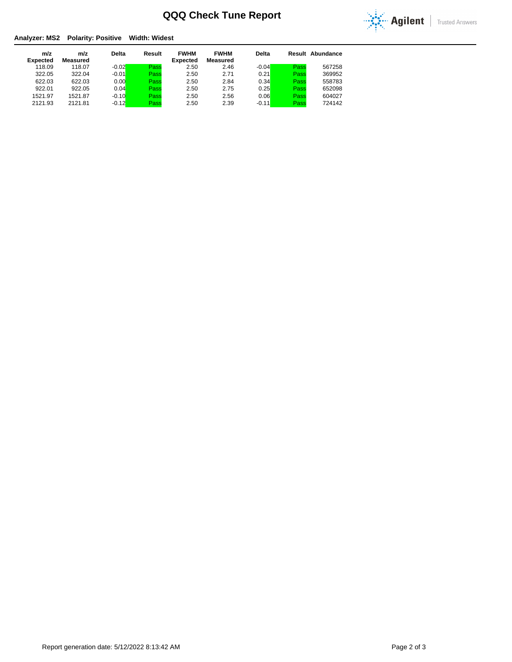## **QQQ Check Tune Report**



# **Analyzer: MS2 Polarity: Positive Width: Widest**

| m/z<br><b>Expected</b> | m/z<br>Measured | <b>Delta</b> | Result | <b>FWHM</b><br><b>Expected</b> | <b>FWHM</b><br>Measured | <b>Delta</b> |      | Result Abundance |
|------------------------|-----------------|--------------|--------|--------------------------------|-------------------------|--------------|------|------------------|
| 118.09                 | 118.07          | $-0.02$      | Pass   | 2.50                           | 2.46                    | $-0.04$      | Pass | 567258           |
| 322.05                 | 322.04          | $-0.01$      | Pass   | 2.50                           | 2.71                    | 0.21         | Pass | 369952           |
| 622.03                 | 622.03          | 0.00         | Pass   | 2.50                           | 2.84                    | 0.34         | Pass | 558783           |
| 922.01                 | 922.05          | 0.04         | Pass   | 2.50                           | 2.75                    | 0.25         | Pass | 652098           |
| 1521.97                | 1521.87         | $-0.10$      | Pass   | 2.50                           | 2.56                    | 0.06         | Pass | 604027           |
| 2121.93                | 2121.81         | $-0.12$      | Pass   | 2.50                           | 2.39                    | $-0.11$      | Pass | 724142           |